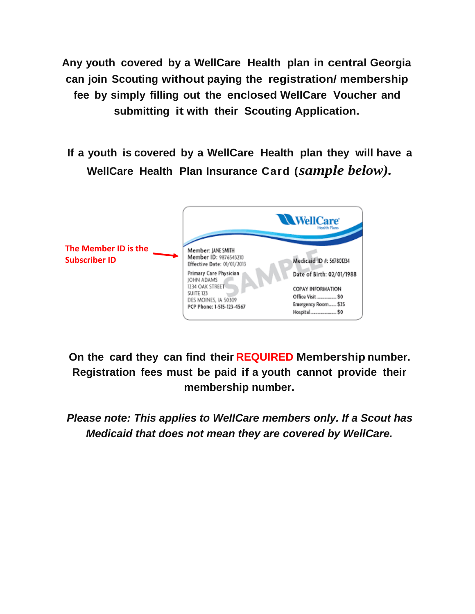**Any youth** covered by a WellCare Health plan in central Georgia **can join Scouting without paying the registration/ membership fee by simply filling out the enclosed WellCare Voucher and submitting it with their Scouting Application.**

**If a youth is covered by a WellCare Health plan they will have a WellCare Health Plan Insurance Card (***sample below).*



**On the card they can find their REQUIRED Membership number. Registration fees must be paid if a youth cannot provide their membership number.**

*Please note: This applies to WellCare members only. If a Scout has Medicaid that does not mean they are covered by WellCare.*